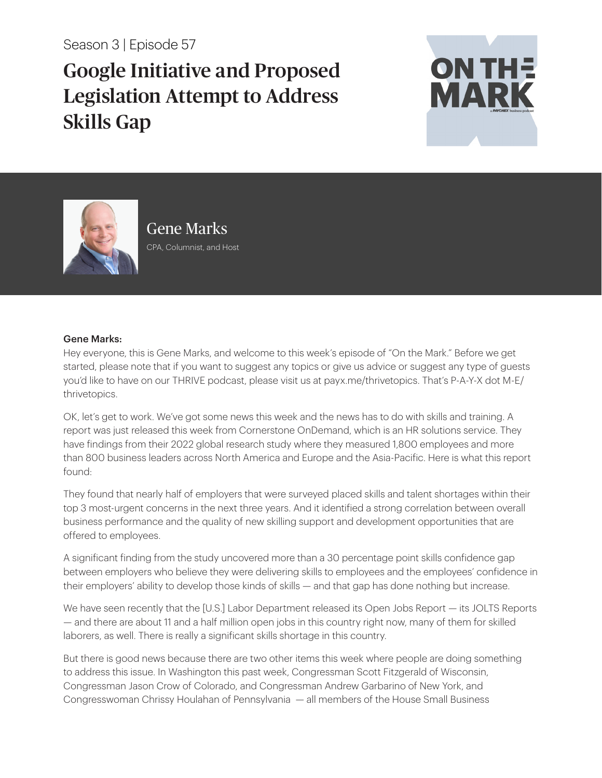Season 3 | Episode 57

## Google Initiative and Proposed Legislation Attempt to Address Skills Gap





Gene Marks CPA, Columnist, and Host

## Gene Marks:

Hey everyone, this is Gene Marks, and welcome to this week's episode of "On the Mark." Before we get started, please note that if you want to suggest any topics or give us advice or suggest any type of guests you'd like to have on our THRIVE podcast, please visit us at payx.me/thrivetopics. That's P-A-Y-X dot M-E/ thrivetopics.

OK, let's get to work. We've got some news this week and the news has to do with skills and training. A report was just released this week from Cornerstone OnDemand, which is an HR solutions service. They have findings from their 2022 global research study where they measured 1,800 employees and more than 800 business leaders across North America and Europe and the Asia-Pacific. Here is what this report found:

They found that nearly half of employers that were surveyed placed skills and talent shortages within their top 3 most-urgent concerns in the next three years. And it identified a strong correlation between overall business performance and the quality of new skilling support and development opportunities that are offered to employees.

A significant finding from the study uncovered more than a 30 percentage point skills confidence gap between employers who believe they were delivering skills to employees and the employees' confidence in their employers' ability to develop those kinds of skills — and that gap has done nothing but increase.

We have seen recently that the [U.S.] Labor Department released its Open Jobs Report — its JOLTS Reports — and there are about 11 and a half million open jobs in this country right now, many of them for skilled laborers, as well. There is really a significant skills shortage in this country.

But there is good news because there are two other items this week where people are doing something to address this issue. In Washington this past week, Congressman Scott Fitzgerald of Wisconsin, Congressman Jason Crow of Colorado, and Congressman Andrew Garbarino of New York, and Congresswoman Chrissy Houlahan of Pennsylvania — all members of the House Small Business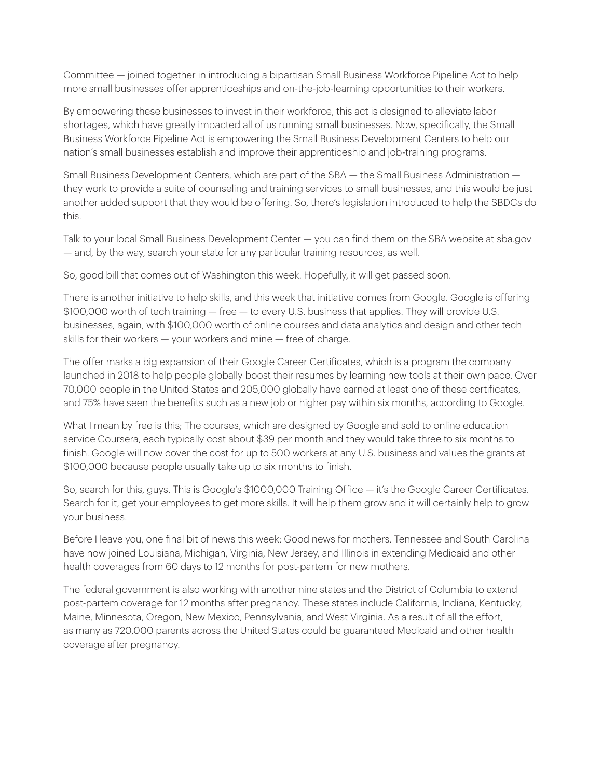Committee — joined together in introducing a bipartisan Small Business Workforce Pipeline Act to help more small businesses offer apprenticeships and on-the-job-learning opportunities to their workers.

By empowering these businesses to invest in their workforce, this act is designed to alleviate labor shortages, which have greatly impacted all of us running small businesses. Now, specifically, the Small Business Workforce Pipeline Act is empowering the Small Business Development Centers to help our nation's small businesses establish and improve their apprenticeship and job-training programs.

Small Business Development Centers, which are part of the SBA — the Small Business Administration they work to provide a suite of counseling and training services to small businesses, and this would be just another added support that they would be offering. So, there's legislation introduced to help the SBDCs do this.

Talk to your local Small Business Development Center — you can find them on the SBA website at sba.gov — and, by the way, search your state for any particular training resources, as well.

So, good bill that comes out of Washington this week. Hopefully, it will get passed soon.

There is another initiative to help skills, and this week that initiative comes from Google. Google is offering \$100,000 worth of tech training — free — to every U.S. business that applies. They will provide U.S. businesses, again, with \$100,000 worth of online courses and data analytics and design and other tech skills for their workers — your workers and mine — free of charge.

The offer marks a big expansion of their Google Career Certificates, which is a program the company launched in 2018 to help people globally boost their resumes by learning new tools at their own pace. Over 70,000 people in the United States and 205,000 globally have earned at least one of these certificates, and 75% have seen the benefits such as a new job or higher pay within six months, according to Google.

What I mean by free is this; The courses, which are designed by Google and sold to online education service Coursera, each typically cost about \$39 per month and they would take three to six months to finish. Google will now cover the cost for up to 500 workers at any U.S. business and values the grants at \$100,000 because people usually take up to six months to finish.

So, search for this, guys. This is Google's \$1000,000 Training Office — it's the Google Career Certificates. Search for it, get your employees to get more skills. It will help them grow and it will certainly help to grow your business.

Before I leave you, one final bit of news this week: Good news for mothers. Tennessee and South Carolina have now joined Louisiana, Michigan, Virginia, New Jersey, and Illinois in extending Medicaid and other health coverages from 60 days to 12 months for post-partem for new mothers.

The federal government is also working with another nine states and the District of Columbia to extend post-partem coverage for 12 months after pregnancy. These states include California, Indiana, Kentucky, Maine, Minnesota, Oregon, New Mexico, Pennsylvania, and West Virginia. As a result of all the effort, as many as 720,000 parents across the United States could be guaranteed Medicaid and other health coverage after pregnancy.